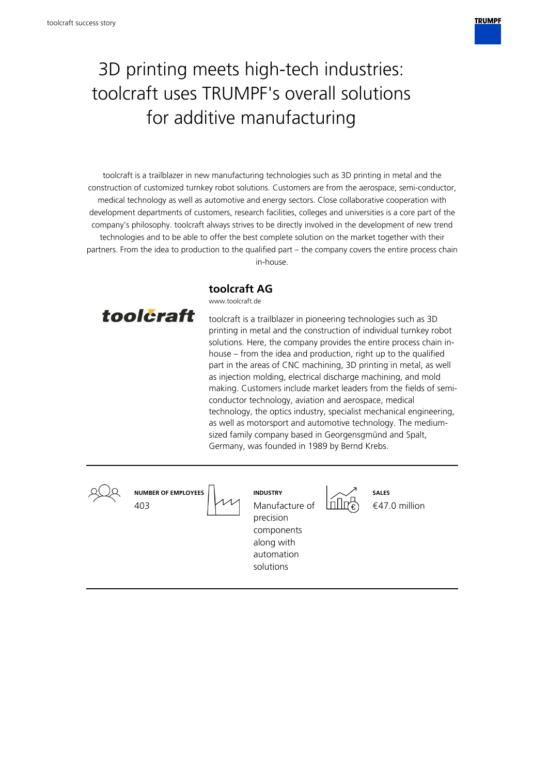

# 3D printing meets high-tech industries: toolcraft uses TRUMPF's overall solutions for additive manufacturing

toolcraft is a trailblazer in new manufacturing technologies such as 3D printing in metal and the construction of customized turnkey robot solutions. Customers are from the aerospace, semi-conductor, medical technology as well as automotive and energy sectors. Close collaborative cooperation with development departments of customers, research facilities, colleges and universities is a core part of the company's philosophy. toolcraft always strives to be directly involved in the development of new trend technologies and to be able to offer the best complete solution on the market together with their partners. From the idea to production to the qualified part – the company covers the entire process chain in-house.

**toolcraft AG**



www.toolcraft.de

toolcraft is a trailblazer in pioneering technologies such as 3D printing in metal and the construction of individual turnkey robot solutions. Here, the company provides the entire process chain inhouse – from the idea and production, right up to the qualified part in the areas of CNC machining, 3D printing in metal, as well as injection molding, electrical discharge machining, and mold making. Customers include market leaders from the fields of semiconductor technology, aviation and aerospace, medical technology, the optics industry, specialist mechanical engineering, as well as motorsport and automotive technology. The mediumsized family company based in Georgensgmünd and Spalt, Germany, was founded in 1989 by Bernd Krebs.

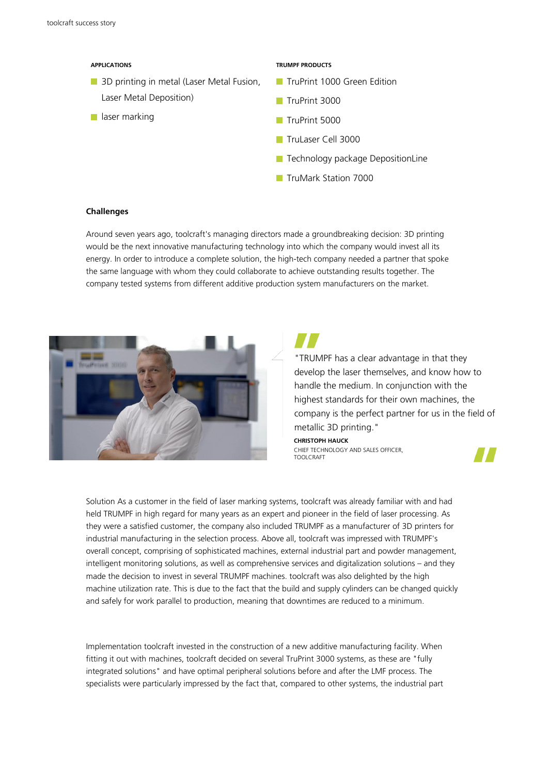#### **APPLICATIONS**

- **3D printing in metal (Laser Metal Fusion,** Laser Metal Deposition)
- **laser marking**

### **TRUMPF PRODUCTS**

- **TruPrint 1000 Green Edition**
- TruPrint 3000
- TruPrint 5000
- TruLaser Cell 3000
- **T** Technology package DepositionLine
- **TruMark Station 7000**

#### **Challenges**

Around seven years ago, toolcraft's managing directors made a groundbreaking decision: 3D printing would be the next innovative manufacturing technology into which the company would invest all its energy. In order to introduce a complete solution, the high-tech company needed a partner that spoke the same language with whom they could collaborate to achieve outstanding results together. The company tested systems from different additive production system manufacturers on the market.



"TRUMPF has a clear advantage in that they develop the laser themselves, and know how to handle the medium. In conjunction with the highest standards for their own machines, the company is the perfect partner for us in the field of metallic 3D printing."

**CHRISTOPH HAUCK** CHIEF TECHNOLOGY AND SALES OFFICER, TOOLCRAFT

Solution As a customer in the field of laser marking systems, toolcraft was already familiar with and had held TRUMPF in high regard for many years as an expert and pioneer in the field of laser processing. As they were a satisfied customer, the company also included TRUMPF as a manufacturer of 3D printers for industrial manufacturing in the selection process. Above all, toolcraft was impressed with TRUMPF's overall concept, comprising of sophisticated machines, external industrial part and powder management, intelligent monitoring solutions, as well as comprehensive services and digitalization solutions – and they made the decision to invest in several TRUMPF machines. toolcraft was also delighted by the high machine utilization rate. This is due to the fact that the build and supply cylinders can be changed quickly and safely for work parallel to production, meaning that downtimes are reduced to a minimum.

Implementation toolcraft invested in the construction of a new additive manufacturing facility. When fitting it out with machines, toolcraft decided on several TruPrint 3000 systems, as these are "fully integrated solutions" and have optimal peripheral solutions before and after the LMF process. The specialists were particularly impressed by the fact that, compared to other systems, the industrial part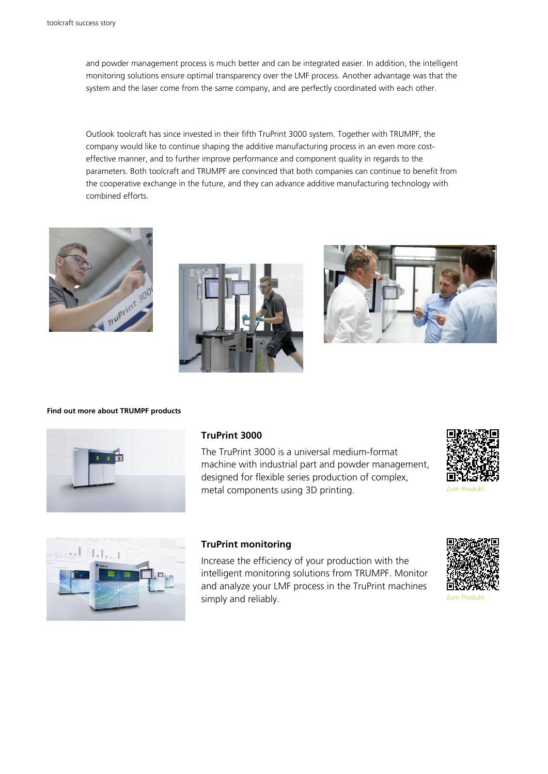and powder management process is much better and can be integrated easier. In addition, the intelligent monitoring solutions ensure optimal transparency over the LMF process. Another advantage was that the system and the laser come from the same company, and are perfectly coordinated with each other.

Outlook toolcraft has since invested in their fifth TruPrint 3000 system. Together with TRUMPF, the company would like to continue shaping the additive manufacturing process in an even more costeffective manner, and to further improve performance and component quality in regards to the parameters. Both toolcraft and TRUMPF are convinced that both companies can continue to benefit from the cooperative exchange in the future, and they can advance additive manufacturing technology with combined efforts.







#### **Find out more about TRUMPF products**



## **TruPrint 3000**

The TruPrint 3000 is a universal medium-format machine with industrial part and powder management, designed for flexible series production of complex, metal components using 3D printing. The according term Produkt and Tum Produkt → Zum Produkt





## **TruPrint monitoring**

Increase the efficiency of your production with the intelligent monitoring solutions from TRUMPF. Monitor and analyze your LMF process in the TruPrint machines simply and reliably. The state of the state of the state of the state of the state of the state of the state of the state of the state of the state of the state of the state of the state of the state of the state of the st